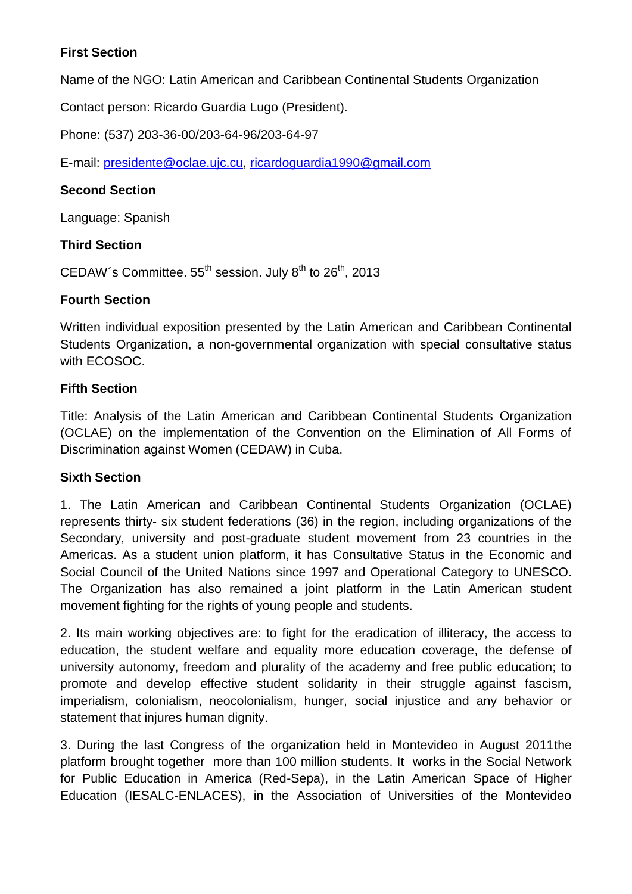# **First Section**

Name of the NGO: Latin American and Caribbean Continental Students Organization

Contact person: Ricardo Guardia Lugo (President).

Phone: (537) 203-36-00/203-64-96/203-64-97

E-mail: [presidente@oclae.ujc.cu,](mailto:presidente@oclae.ujc.cu) [ricardoguardia1990@gmail.com](mailto:ricardoguardia1990@gmail.com)

#### **Second Section**

Language: Spanish

## **Third Section**

CEDAW's Committee.  $55<sup>th</sup>$  session. July  $8<sup>th</sup>$  to  $26<sup>th</sup>$ , 2013

## **Fourth Section**

Written individual exposition presented by the Latin American and Caribbean Continental Students Organization, a non-governmental organization with special consultative status with ECOSOC.

## **Fifth Section**

Title: Analysis of the Latin American and Caribbean Continental Students Organization (OCLAE) on the implementation of the Convention on the Elimination of All Forms of Discrimination against Women (CEDAW) in Cuba.

#### **Sixth Section**

1. The Latin American and Caribbean Continental Students Organization (OCLAE) represents thirty- six student federations (36) in the region, including organizations of the Secondary, university and post-graduate student movement from 23 countries in the Americas. As a student union platform, it has Consultative Status in the Economic and Social Council of the United Nations since 1997 and Operational Category to UNESCO. The Organization has also remained a joint platform in the Latin American student movement fighting for the rights of young people and students.

2. Its main working objectives are: to fight for the eradication of illiteracy, the access to education, the student welfare and equality more education coverage, the defense of university autonomy, freedom and plurality of the academy and free public education; to promote and develop effective student solidarity in their struggle against fascism, imperialism, colonialism, neocolonialism, hunger, social injustice and any behavior or statement that injures human dignity.

3. During the last Congress of the organization held in Montevideo in August 2011the platform brought together more than 100 million students. It works in the Social Network for Public Education in America (Red-Sepa), in the Latin American Space of Higher Education (IESALC-ENLACES), in the Association of Universities of the Montevideo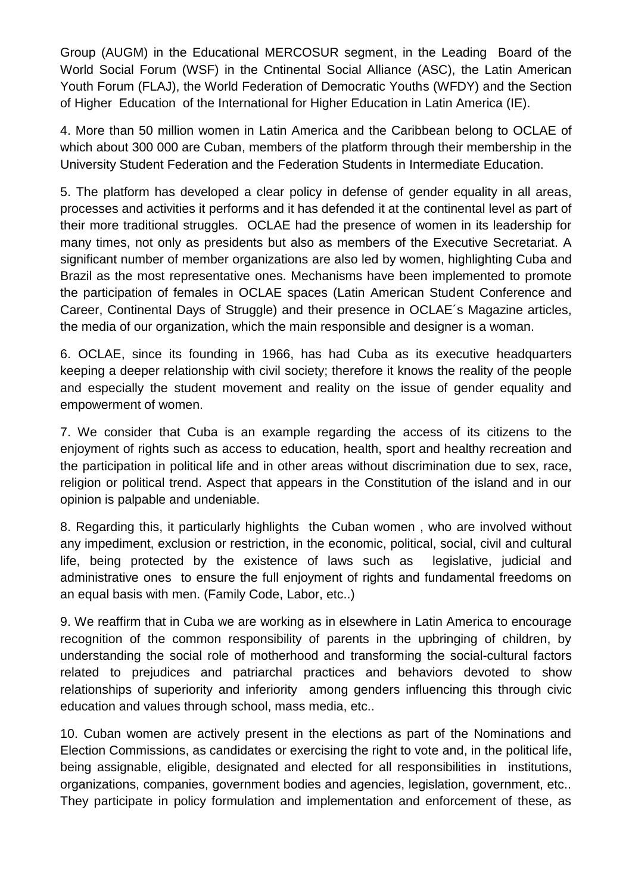Group (AUGM) in the Educational MERCOSUR segment, in the Leading Board of the World Social Forum (WSF) in the Cntinental Social Alliance (ASC), the Latin American Youth Forum (FLAJ), the World Federation of Democratic Youths (WFDY) and the Section of Higher Education of the International for Higher Education in Latin America (IE).

4. More than 50 million women in Latin America and the Caribbean belong to OCLAE of which about 300 000 are Cuban, members of the platform through their membership in the University Student Federation and the Federation Students in Intermediate Education.

5. The platform has developed a clear policy in defense of gender equality in all areas, processes and activities it performs and it has defended it at the continental level as part of their more traditional struggles. OCLAE had the presence of women in its leadership for many times, not only as presidents but also as members of the Executive Secretariat. A significant number of member organizations are also led by women, highlighting Cuba and Brazil as the most representative ones. Mechanisms have been implemented to promote the participation of females in OCLAE spaces (Latin American Student Conference and Career, Continental Days of Struggle) and their presence in OCLAE´s Magazine articles, the media of our organization, which the main responsible and designer is a woman.

6. OCLAE, since its founding in 1966, has had Cuba as its executive headquarters keeping a deeper relationship with civil society; therefore it knows the reality of the people and especially the student movement and reality on the issue of gender equality and empowerment of women.

7. We consider that Cuba is an example regarding the access of its citizens to the enjoyment of rights such as access to education, health, sport and healthy recreation and the participation in political life and in other areas without discrimination due to sex, race, religion or political trend. Aspect that appears in the Constitution of the island and in our opinion is palpable and undeniable.

8. Regarding this, it particularly highlights the Cuban women , who are involved without any impediment, exclusion or restriction, in the economic, political, social, civil and cultural life, being protected by the existence of laws such as legislative, judicial and administrative ones to ensure the full enjoyment of rights and fundamental freedoms on an equal basis with men. (Family Code, Labor, etc..)

9. We reaffirm that in Cuba we are working as in elsewhere in Latin America to encourage recognition of the common responsibility of parents in the upbringing of children, by understanding the social role of motherhood and transforming the social-cultural factors related to prejudices and patriarchal practices and behaviors devoted to show relationships of superiority and inferiority among genders influencing this through civic education and values through school, mass media, etc..

10. Cuban women are actively present in the elections as part of the Nominations and Election Commissions, as candidates or exercising the right to vote and, in the political life, being assignable, eligible, designated and elected for all responsibilities in institutions, organizations, companies, government bodies and agencies, legislation, government, etc.. They participate in policy formulation and implementation and enforcement of these, as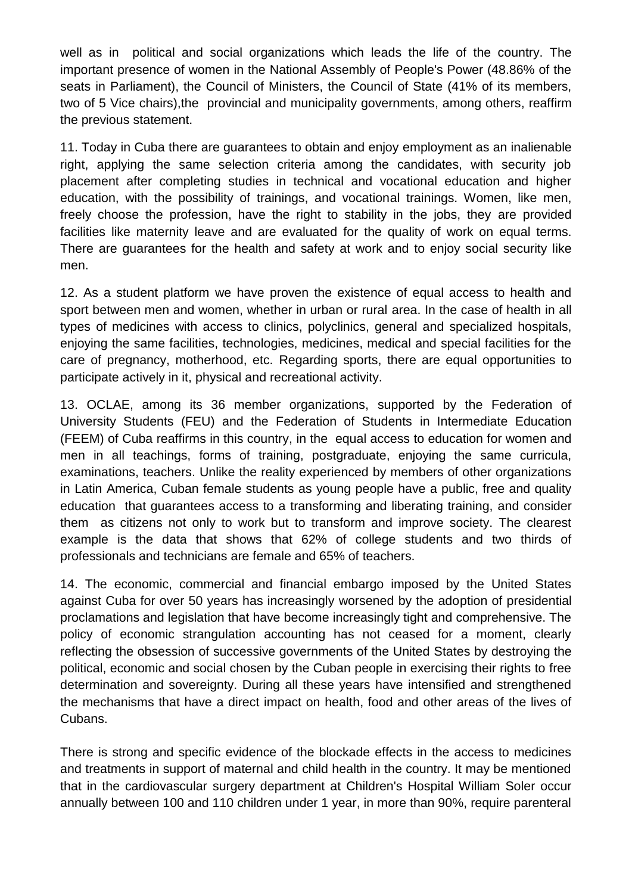well as in political and social organizations which leads the life of the country. The important presence of women in the National Assembly of People's Power (48.86% of the seats in Parliament), the Council of Ministers, the Council of State (41% of its members, two of 5 Vice chairs), the provincial and municipality governments, among others, reaffirm the previous statement.

11. Today in Cuba there are guarantees to obtain and enjoy employment as an inalienable right, applying the same selection criteria among the candidates, with security job placement after completing studies in technical and vocational education and higher education, with the possibility of trainings, and vocational trainings. Women, like men, freely choose the profession, have the right to stability in the jobs, they are provided facilities like maternity leave and are evaluated for the quality of work on equal terms. There are guarantees for the health and safety at work and to enjoy social security like men.

12. As a student platform we have proven the existence of equal access to health and sport between men and women, whether in urban or rural area. In the case of health in all types of medicines with access to clinics, polyclinics, general and specialized hospitals, enjoying the same facilities, technologies, medicines, medical and special facilities for the care of pregnancy, motherhood, etc. Regarding sports, there are equal opportunities to participate actively in it, physical and recreational activity.

13. OCLAE, among its 36 member organizations, supported by the Federation of University Students (FEU) and the Federation of Students in Intermediate Education (FEEM) of Cuba reaffirms in this country, in the equal access to education for women and men in all teachings, forms of training, postgraduate, enjoying the same curricula, examinations, teachers. Unlike the reality experienced by members of other organizations in Latin America, Cuban female students as young people have a public, free and quality education that guarantees access to a transforming and liberating training, and consider them as citizens not only to work but to transform and improve society. The clearest example is the data that shows that 62% of college students and two thirds of professionals and technicians are female and 65% of teachers.

14. The economic, commercial and financial embargo imposed by the United States against Cuba for over 50 years has increasingly worsened by the adoption of presidential proclamations and legislation that have become increasingly tight and comprehensive. The policy of economic strangulation accounting has not ceased for a moment, clearly reflecting the obsession of successive governments of the United States by destroying the political, economic and social chosen by the Cuban people in exercising their rights to free determination and sovereignty. During all these years have intensified and strengthened the mechanisms that have a direct impact on health, food and other areas of the lives of Cubans.

There is strong and specific evidence of the blockade effects in the access to medicines and treatments in support of maternal and child health in the country. It may be mentioned that in the cardiovascular surgery department at Children's Hospital William Soler occur annually between 100 and 110 children under 1 year, in more than 90%, require parenteral